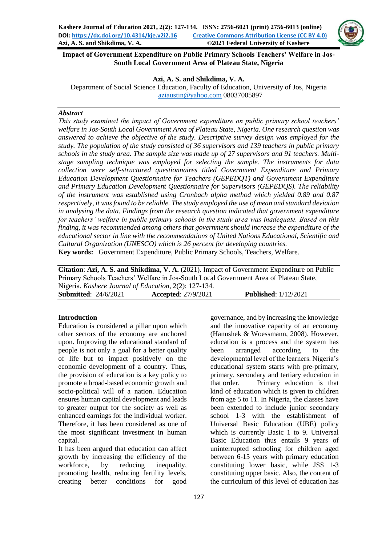

**Impact of Government Expenditure on Public Primary Schools Teachers' Welfare in Jos-South Local Government Area of Plateau State, Nigeria**

#### **Azi, A. S. and Shikdima, V. A.**

Department of Social Science Education, Faculty of Education, University of Jos, Nigeria [aziaustin@yahoo.com](mailto:aziaustin@yahoo.com) 08037005897

### *Abstract*

*This study examined the impact of Government expenditure on public primary school teachers' welfare in Jos-South Local Government Area of Plateau State, Nigeria. One research question was answered to achieve the objective of the study. Descriptive survey design was employed for the study. The population of the study consisted of 36 supervisors and 139 teachers in public primary schools in the study area. The sample size was made up of 27 supervisors and 91 teachers. Multistage sampling technique was employed for selecting the sample. The instruments for data collection were self-structured questionnaires titled Government Expenditure and Primary Education Development Questionnaire for Teachers (GEPEDQT) and Government Expenditure and Primary Education Development Questionnaire for Supervisors (GEPEDQS). The reliability of the instrument was established using Cronbach alpha method which yielded 0.89 and 0.87 respectively, it was found to be reliable. The study employed the use of mean and standard deviation in analysing the data. Findings from the research question indicated that government expenditure for teachers' welfare in public primary schools in the study area was inadequate. Based on this finding, it was recommended among others that government should increase the expenditure of the educational sector in line with the recommendations of United Nations Educational, Scientific and Cultural Organization (UNESCO) which is 26 percent for developing countries.* **Key words:** Government Expenditure, Public Primary Schools, Teachers, Welfare.

**Citation**: **Azi, A. S. and Shikdima, V. A.** (2021). Impact of Government Expenditure on Public Primary Schools Teachers' Welfare in Jos-South Local Government Area of Plateau State, Nigeria. *Kashere Journal of Education*, 2(2): 127-134. **Submitted**: 24/6/2021 **Accepted**: 27/9/2021 **Published**: 1/12/2021

#### **Introduction**

Education is considered a pillar upon which other sectors of the economy are anchored upon. Improving the educational standard of people is not only a goal for a better quality of life but to impact positively on the economic development of a country. Thus, the provision of education is a key policy to promote a broad-based economic growth and socio-political will of a nation. Education ensures human capital development and leads to greater output for the society as well as enhanced earnings for the individual worker. Therefore, it has been considered as one of the most significant investment in human capital.

It has been argued that education can affect growth by increasing the efficiency of the workforce, by reducing inequality, promoting health, reducing fertility levels, creating better conditions for good

governance, and by increasing the knowledge and the innovative capacity of an economy (Hanushek & Woessmann, 2008). However, education is a process and the system has been arranged according to the developmental level of the learners. Nigeria's educational system starts with pre-primary, primary, secondary and tertiary education in that order. Primary education is that kind of education which is given to children from age 5 to 11. In Nigeria, the classes have been extended to include junior secondary school 1-3 with the establishment of Universal Basic Education (UBE) policy which is currently Basic 1 to 9. Universal Basic Education thus entails 9 years of uninterrupted schooling for children aged between 6-15 years with primary education constituting lower basic, while JSS 1-3 constituting upper basic. Also, the content of the curriculum of this level of education has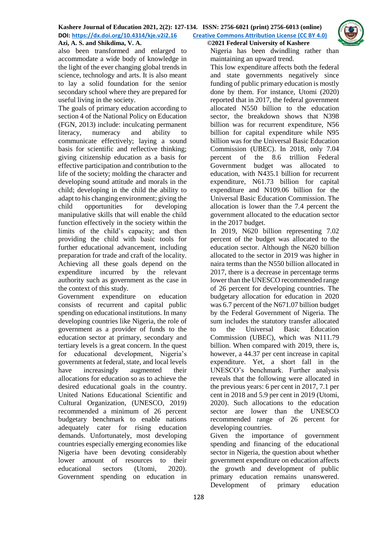

also been transformed and enlarged to accommodate a wide body of knowledge in the light of the ever changing global trends in science, technology and arts. It is also meant to lay a solid foundation for the senior secondary school where they are prepared for useful living in the society.

The goals of primary education according to section 4 of the National Policy on Education (FGN, 2013) include: inculcating permanent literacy, numeracy and ability to communicate effectively; laying a sound basis for scientific and reflective thinking; giving citizenship education as a basis for effective participation and contribution to the life of the society; molding the character and developing sound attitude and morals in the child; developing in the child the ability to adapt to his changing environment; giving the child opportunities for developing manipulative skills that will enable the child function effectively in the society within the limits of the child's capacity; and then providing the child with basic tools for further educational advancement, including preparation for trade and craft of the locality. Achieving all these goals depend on the expenditure incurred by the relevant authority such as government as the case in the context of this study.

Government expenditure on education consists of recurrent and capital public spending on educational institutions. In many developing countries like Nigeria, the role of government as a provider of funds to the education sector at primary, secondary and tertiary levels is a great concern. In the quest for educational development, Nigeria's governments at federal, state, and local levels have increasingly augmented their allocations for education so as to achieve the desired educational goals in the country. United Nations Educational Scientific and Cultural Organization, (UNESCO, 2019) recommended a minimum of 26 percent budgetary benchmark to enable nations adequately cater for rising education demands. Unfortunately, most developing countries especially emerging economies like Nigeria have been devoting considerably lower amount of resources to their educational sectors (Utomi, 2020). Government spending on education in

Nigeria has been dwindling rather than maintaining an upward trend.

This low expenditure affects both the federal and state governments negatively since funding of public primary education is mostly done by them. For instance, Utomi (2020) reported that in 2017, the federal government allocated N550 billion to the education sector, the breakdown shows that N398 billion was for recurrent expenditure, N56 billion for capital expenditure while N95 billion was for the Universal Basic Education Commission (UBEC). In 2018, only 7.04 percent of the 8.6 trillion Federal Government budget was allocated to education, with N435.1 billion for recurrent expenditure, N61.73 billion for capital expenditure and N109.06 billion for the Universal Basic Education Commission. The allocation is lower than the 7.4 percent the government allocated to the education sector in the 2017 budget.

In 2019, N620 billion representing 7.02 percent of the budget was allocated to the education sector. Although the N620 billion allocated to the sector in 2019 was higher in naira terms than the N550 billion allocated in 2017, there is a decrease in percentage terms lower than the UNESCO recommended range of 26 percent for developing countries. The budgetary allocation for education in 2020 was 6.7 percent of the N671.07 billion budget by the Federal Government of Nigeria. The sum includes the statutory transfer allocated to the Universal Basic Education Commission (UBEC), which was N111.79 billion. When compared with 2019, there is, however, a 44.37 per cent increase in capital expenditure. Yet, a short fall in the UNESCO's benchmark. Further analysis reveals that the following were allocated in the previous years: 6 per cent in 2017, 7.1 per cent in 2018 and 5.9 per cent in 2019 (Utomi, 2020). Such allocations to the education sector are lower than the UNESCO recommended range of 26 percent for developing countries.

Given the importance of government spending and financing of the educational sector in Nigeria, the question about whether government expenditure on education affects the growth and development of public primary education remains unanswered. Development of primary education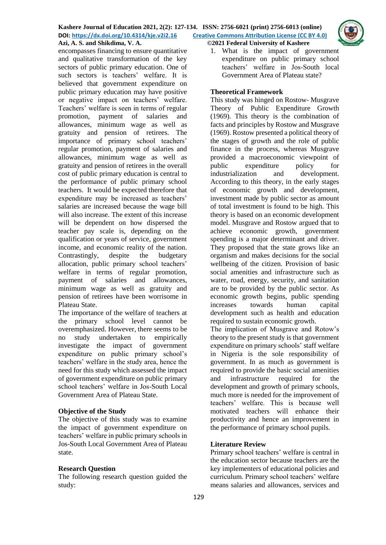

encompasses financing to ensure quantitative and qualitative transformation of the key sectors of public primary education. One of such sectors is teachers' welfare. It is believed that government expenditure on public primary education may have positive or negative impact on teachers' welfare. Teachers' welfare is seen in terms of regular promotion, payment of salaries and allowances, minimum wage as well as gratuity and pension of retirees. The importance of primary school teachers' regular promotion, payment of salaries and allowances, minimum wage as well as gratuity and pension of retirees in the overall cost of public primary education is central to the performance of public primary school teachers. It would be expected therefore that expenditure may be increased as teachers' salaries are increased because the wage bill will also increase. The extent of this increase will be dependent on how dispersed the teacher pay scale is, depending on the qualification or years of service, government income, and economic reality of the nation. Contrastingly, despite the budgetary allocation, public primary school teachers' welfare in terms of regular promotion, payment of salaries and allowances, minimum wage as well as gratuity and pension of retirees have been worrisome in Plateau State.

The importance of the welfare of teachers at the primary school level cannot be overemphasized. However, there seems to be no study undertaken to empirically investigate the impact of government expenditure on public primary school's teachers' welfare in the study area, hence the need for this study which assessed the impact of government expenditure on public primary school teachers' welfare in Jos-South Local Government Area of Plateau State.

### **Objective of the Study**

The objective of this study was to examine the impact of government expenditure on teachers' welfare in public primary schools in Jos-South Local Government Area of Plateau state.

# **Research Question**

The following research question guided the study:

1. What is the impact of government expenditure on public primary school teachers' welfare in Jos-South local Government Area of Plateau state?

## **Theoretical Framework**

This study was hinged on Rostow- Musgrave Theory of Public Expenditure Growth (1969). This theory is the combination of facts and principles by Rostow and Musgrave (1969). Rostow presented a political theory of the stages of growth and the role of public finance in the process, whereas Musgrave provided a macroeconomic viewpoint of public expenditure policy for industrialization and development. According to this theory, in the early stages of economic growth and development, investment made by public sector as amount of total investment is found to be high. This theory is based on an economic development model. Musgrave and Rostow argued that to achieve economic growth, government spending is a major determinant and driver. They proposed that the state grows like an organism and makes decisions for the social wellbeing of the citizen. Provision of basic social amenities and infrastructure such as water, road, energy, security, and sanitation are to be provided by the public sector. As economic growth begins, public spending increases towards human capital development such as health and education required to sustain economic growth.

The implication of Musgrave and Rotow's theory to the present study is that government expenditure on primary schools' staff welfare in Nigeria is the sole responsibility of government. In as much as government is required to provide the basic social amenities and infrastructure required for the development and growth of primary schools, much more is needed for the improvement of teachers' welfare. This is because well motivated teachers will enhance their productivity and hence an improvement in the performance of primary school pupils.

# **Literature Review**

Primary school teachers' welfare is central in the education sector because teachers are the key implementers of educational policies and curriculum. Primary school teachers' welfare means salaries and allowances, services and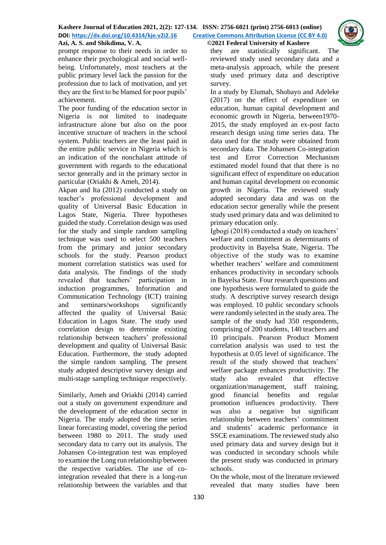

prompt response to their needs in order to enhance their psychological and social wellbeing. Unfortunately, most teachers at the public primary level lack the passion for the profession due to lack of motivation, and yet they are the first to be blamed for poor pupils' achievement.

The poor funding of the education sector in Nigeria is not limited to inadequate infrastructure alone but also on the poor incentive structure of teachers in the school system. Public teachers are the least paid in the entire public service in Nigeria which is an indication of the nonchalant attitude of government with regards to the educational sector generally and in the primary sector in particular (Oriakhi & Ameh, 2014).

Akpan and Ita (2012) conducted a study on teacher's professional development and quality of Universal Basic Education in Lagos State, Nigeria. Three hypotheses guided the study. Correlation design was used for the study and simple random sampling technique was used to select 500 teachers from the primary and junior secondary schools for the study. Pearson product moment correlation statistics was used for data analysis. The findings of the study revealed that teachers' participation in induction programmes, Information and Communication Technology (ICT) training and seminars/workshops significantly affected the quality of Universal Basic Education in Lagos State. The study used correlation design to determine existing relationship between teachers' professional development and quality of Universal Basic Education. Furthermore, the study adopted the simple random sampling. The present study adopted descriptive survey design and multi-stage sampling technique respectively.

Similarly, Ameh and Oriakhi (2014) carried out a study on government expenditure and the development of the education sector in Nigeria. The study adopted the time series linear forecasting model, covering the period between 1980 to 2011. The study used secondary data to carry out its analysis. The Johansen Co-integration test was employed to examine the Long run relationship between the respective variables. The use of cointegration revealed that there is a long-run relationship between the variables and that

they are statistically significant. The reviewed study used secondary data and a meta-analysis approach, while the present study used primary data and descriptive survey.

In a study by Elumah, Shobayo and Adeleke (2017) on the effect of expenditure on education, human capital development and economic growth in Nigeria, between1970- 2015, the study employed an ex-post facto research design using time series data. The data used for the study were obtained from secondary data. The Johansen Co-integration test and Error Correction Mechanism estimated model found that that there is no significant effect of expenditure on education and human capital development on economic growth in Nigeria. The reviewed study adopted secondary data and was on the education sector generally while the present study used primary data and was delimited to primary education only.

Igbogi (2018) conducted a study on teachers' welfare and commitment as determinants of productivity in Bayelsa State, Nigeria. The objective of the study was to examine whether teachers' welfare and commitment enhances productivity in secondary schools in Bayelsa State. Four research questions and one hypothesis were formulated to guide the study. A descriptive survey research [design](http://www.ijsre.com/) was [employe](http://www.ijsre.com/)d. 10 public secondary schools were randomly selected in the study area. The sample of the study had 350 respondents, comprising of 200 students, 140 teachers and 10 principals. Pearson Product Moment correlation analysis was used to test the hypothesis at 0.05 level of significance. The result of the study showed that teachers' welfare package enhances productivity. The study also revealed that effective organization/management, staff training, good financial benefits and regular promotion influences productivity. There was also a negative but significant relationship between teachers' commitment and students' academic performance in SSCE examinations. The reviewed study also used primary data and survey design but it was conducted in secondary schools while the present study was conducted in primary schools.

On the whole, most of the literature reviewed revealed that many studies have been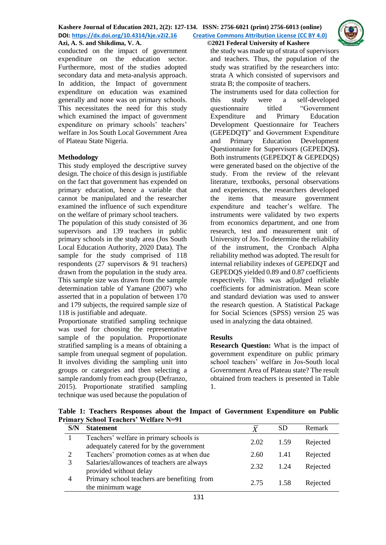

conducted on the impact of government expenditure on the education sector. Furthermore, most of the studies adopted secondary data and meta-analysis approach. In addition, the Impact of government expenditure on education was examined generally and none was on primary schools. This necessitates the need for this study which examined the impact of government expenditure on primary schools' teachers' welfare in Jos South Local Government Area of Plateau State Nigeria.

## **Methodology**

This study employed the descriptive survey design. The choice of this design is justifiable on the fact that government has expended on primary education, hence a variable that cannot be manipulated and the researcher examined the influence of such expenditure on the welfare of primary school teachers.

The population of this study consisted of 36 supervisors and 139 teachers in public primary schools in the study area (Jos South Local Education Authority, 2020 Data). The sample for the study comprised of 118 respondents (27 supervisors & 91 teachers) drawn from the population in the study area. This sample size was drawn from the sample determination table of Yamane (2007) who asserted that in a population of between 170 and 179 subjects, the required sample size of 118 is justifiable and adequate.

Proportionate stratified sampling technique was used for choosing the representative sample of the population. Proportionate stratified sampling is a means of obtaining a sample from unequal segment of population. It involves dividing the sampling unit into groups or categories and then selecting a sample randomly from each group (Defranzo, 2015). Proportionate stratified sampling technique was used because the population of

the study was made up of strata of supervisors and teachers. Thus, the population of the study was stratified by the researchers into: strata A which consisted of supervisors and strata B; the composite of teachers.

The instruments used for data collection for this study were a self-developed questionnaire titled "Government Expenditure and Primary Education Development Questionnaire for Teachers (GEPEDQT**)**" and Government Expenditure and Primary Education Development Questionnaire for Supervisors (GEPEDQS**).**  Both instruments (GEPEDQT & GEPEDQS) were generated based on the objective of the study. From the review of the relevant literature, textbooks, personal observations and experiences, the researchers developed the items that measure government expenditure and teacher's welfare. The instruments were validated by two experts from economics department, and one from research, test and measurement unit of University of Jos. To determine the reliability of the instrument, the Cronbach Alpha reliability method was adopted. The result for internal reliability indexes of GEPEDQT and GEPEDQS yielded 0.89 and 0.87 coefficients respectively. This was adjudged reliable coefficients for administration. Mean score and standard deviation was used to answer the research question. A Statistical Package for Social Sciences (SPSS) version 25 was used in analyzing the data obtained.

# **Results**

**Research Question:** What is the impact of government expenditure on public primary school teachers' welfare in Jos-South local Government Area of Plateau state? The result obtained from teachers is presented in Table 1.

**Table 1: Teachers Responses about the Impact of Government Expenditure on Public Primary School Teachers' Welfare N=91**

| S/N | <b>Statement</b>                                                                    |      |      | Remark   |
|-----|-------------------------------------------------------------------------------------|------|------|----------|
|     | Teachers' welfare in primary schools is<br>adequately catered for by the government | 2.02 | 1.59 | Rejected |
|     | Teachers' promotion comes as at when due                                            | 2.60 | 1.41 | Rejected |
|     | Salaries/allowances of teachers are always<br>provided without delay                | 2.32 | 1.24 | Rejected |
|     | Primary school teachers are benefiting from<br>the minimum wage                     | 2.75 | 1.58 | Rejected |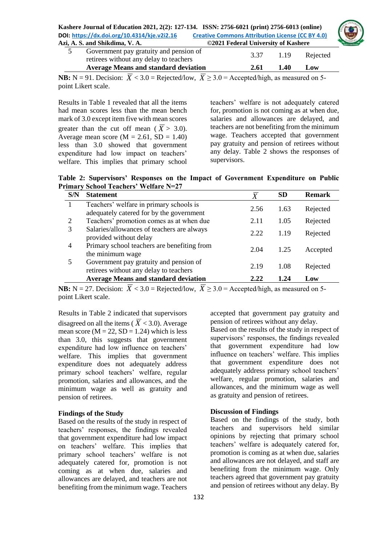|                                             | Kashere Journal of Education 2021, 2(2): 127-134. ISSN: 2756-6021 (print) 2756-6013 (online) |  |
|---------------------------------------------|----------------------------------------------------------------------------------------------|--|
| DOI: https://dx.doi.org/10.4314/kje.v2i2.16 | <b>Creative Commons Attribution License (CC BY 4.0)</b>                                      |  |
| Azi, A. S. and Shikdima, V. A.              | ©2021 Federal University of Kashere                                                          |  |

| Government pay gratuity and pension of<br>retirees without any delay to teachers | 3.37 | 1.19 | Rejected |
|----------------------------------------------------------------------------------|------|------|----------|
| <b>Average Means and standard deviation</b>                                      | 2.61 | 1.40 | Low      |

**NB:** N = 91. Decision:  $X < 3.0$  = Rejected/low,  $X \ge 3.0$  = Accepted/high, as measured on 5point Likert scale.

Results in Table 1 revealed that all the items had mean scores less than the mean bench mark of 3.0 except item five with mean scores greater than the cut off mean ( $\overline{X} > 3.0$ ). Average mean score ( $M = 2.61$ ,  $SD = 1.40$ ) less than 3.0 showed that government expenditure had low impact on teachers' welfare. This implies that primary school teachers' welfare is not adequately catered for, promotion is not coming as at when due, salaries and allowances are delayed, and teachers are not benefiting from the minimum wage. Teachers accepted that government pay gratuity and pension of retirees without any delay. Table 2 shows the responses of supervisors.

**Table 2: Supervisors' Responses on the Impact of Government Expenditure on Public Primary School Teachers' Welfare N=27**

| S/N            | <b>Statement</b>                                                                    | $\overline{X}$ | SD   | <b>Remark</b> |
|----------------|-------------------------------------------------------------------------------------|----------------|------|---------------|
|                | Teachers' welfare in primary schools is<br>adequately catered for by the government | 2.56           | 1.63 | Rejected      |
| 2              | Teachers' promotion comes as at when due                                            | 2.11           | 1.05 | Rejected      |
|                | Salaries/allowances of teachers are always<br>provided without delay                | 2.22           | 1.19 | Rejected      |
| $\overline{4}$ | Primary school teachers are benefiting from<br>the minimum wage                     | 2.04           | 1.25 | Accepted      |
|                | Government pay gratuity and pension of<br>retirees without any delay to teachers    | 2.19           | 1.08 | Rejected      |
|                | <b>Average Means and standard deviation</b>                                         | 2.22           | 1.24 | Low           |

**NB:**  $N = 27$ . Decision:  $X < 3.0$  = Rejected/low,  $X \ge 3.0$  = Accepted/high, as measured on 5point Likert scale.

Results in Table 2 indicated that supervisors disagreed on all the items ( $\overline{X}$  < 3.0). Average mean score ( $M = 22$ ,  $SD = 1.24$ ) which is less than 3.0, this suggests that government expenditure had low influence on teachers' welfare. This implies that government expenditure does not adequately address primary school teachers' welfare, regular promotion, salaries and allowances, and the minimum wage as well as gratuity and pension of retirees.

### **Findings of the Study**

Based on the results of the study in respect of teachers' responses, the findings revealed that government expenditure had low impact on teachers' welfare. This implies that primary school teachers' welfare is not adequately catered for, promotion is not coming as at when due, salaries and allowances are delayed, and teachers are not benefiting from the minimum wage. Teachers

accepted that government pay gratuity and pension of retirees without any delay.

Based on the results of the study in respect of supervisors' responses, the findings revealed that government expenditure had low influence on teachers' welfare. This implies that government expenditure does not adequately address primary school teachers' welfare, regular promotion, salaries and allowances, and the minimum wage as well as gratuity and pension of retirees.

### **Discussion of Findings**

Based on the findings of the study, both teachers and supervisors held similar opinions by rejecting that primary school teachers' welfare is adequately catered for, promotion is coming as at when due, salaries and allowances are not delayed, and staff are benefiting from the minimum wage. Only teachers agreed that government pay gratuity and pension of retirees without any delay. By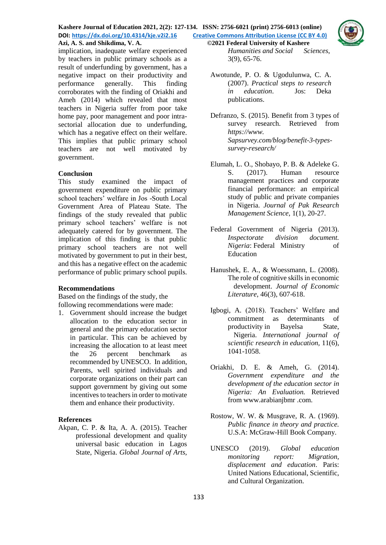#### **Kashere Journal of Education 2021, 2(2): 127-134. ISSN: 2756-6021 (print) 2756-6013 (online) DOI: <https://dx.doi.org/10.4314/kje.v2i2.16> [Creative Commons Attribution License](http://creativecommons.org/licenses/by/4.0/) (CC BY 4.0) Azi, A. S. and Shikdima, V. A. ©2021 Federal University of Kashere**



implication, inadequate welfare experienced by teachers in public primary schools as a result of underfunding by government, has a negative impact on their productivity and performance generally. This finding corroborates with the finding of Oriakhi and Ameh (2014) which revealed that most teachers in Nigeria suffer from poor take home pay, poor management and poor intrasectorial allocation due to underfunding, which has a negative effect on their welfare. This implies that public primary school teachers are not well motivated by government.

## **Conclusion**

This study examined the impact of government expenditure on public primary school teachers' welfare in Jos -South Local Government Area of Plateau State. The findings of the study revealed that public primary school teachers' welfare is not adequately catered for by government. The implication of this finding is that public primary school teachers are not well motivated by government to put in their best, and this has a negative effect on the academic performance of public primary school pupils.

### **Recommendations**

Based on the findings of the study, the following recommendations were made:

1. Government should increase the budget allocation to the education sector in general and the primary education sector in particular. This can be achieved by increasing the allocation to at least meet the 26 percent benchmark as recommended by UNESCO. In addition, Parents, well spirited individuals and corporate organizations on their part can support government by giving out some incentives to teachers in order to motivate them and enhance their productivity.

# **References**

Akpan, C. P. & Ita, A. A. (2015). Teacher professional development and quality universal basic education in Lagos State, Nigeria. *Global Journal of Arts,* 

*Humanities and Social Sciences*, 3(9), 65-76.

Awotunde, P. O. & Ugodulunwa, C. A. (2007). *Practical steps to research in education*. Jos: Deka publications.

- Defranzo, S. (2015). Benefit from 3 types of survey research. Retrieved from *https://www. Sapsurvey.com/blog/benefit-3-typessurvey-research/*
- Elumah, L. O., Shobayo, P. B. & Adeleke G. S. (2017). Human resource management practices and corporate financial performance: an empirical study of public and private companies in Nigeria. *Journal of Pak Research Management Science*, 1(1), 20-27.
- Federal Government of Nigeria (2013). *Inspectorate division document. Nigeria*: Federal Ministry of Education
- Hanushek, E. A., & Woessmann, L. (2008). The role of cognitive skills in economic development. *Journal of Economic Literature*, 46(3), 607-618.
- Igbogi, A. (2018). Teachers' Welfare and commitment as determinants of productivity in Bayelsa State, Nigeria. *International journal of scientific research in education,* 11(6), 1041-1058.
- Oriakhi, D. E. & Ameh, G. (2014). *Government expenditure and the development of the education sector in Nigeria: An Evaluation.* Retrieved from [www.arabianjbmr](http://www.arabianjbmr/) .com.
- Rostow, W. W. & Musgrave, R. A. (1969). *Public finance in theory and practice.* U.S.A: McGraw-Hill Book Company.
- UNESCO (2019). *Global education monitoring report: Migration, displacement and education*. Paris: United Nations Educational, Scientific, and Cultural Organization.